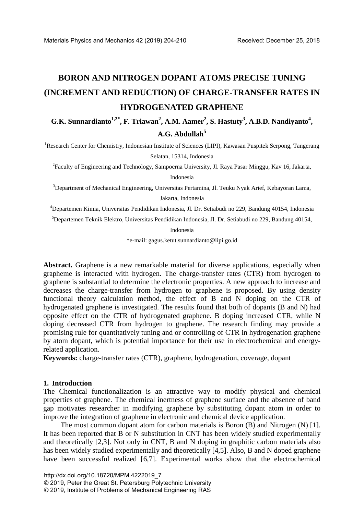# **BORON AND NITROGEN DOPANT ATOMS PRECISE TUNING (INCREMENT AND REDUCTION) OF CHARGE-TRANSFER RATES IN HYDROGENATED GRAPHENE**

G.K. Sunnardianto<sup>1,2\*</sup>, F. Triawan<sup>2</sup>, A.M. Aamer<sup>2</sup>, S. Hastuty<sup>3</sup>, A.B.D. Nandiyanto<sup>4</sup>, **A.G. Abdullah<sup>5</sup>**

<sup>1</sup>Research Center for Chemistry, Indonesian Institute of Sciences (LIPI), Kawasan Puspitek Serpong, Tangerang Selatan, 15314, Indonesia

<sup>2</sup> Faculty of Engineering and Technology, Sampoerna University, Jl. Raya Pasar Minggu, Kav 16, Jakarta,

Indonesia

<sup>3</sup>Department of Mechanical Engineering, Universitas Pertamina, Jl. Teuku Nyak Arief, Kebayoran Lama,

Jakarta, Indonesia

4 Departemen Kimia, Universitas Pendidikan Indonesia, Jl. Dr. Setiabudi no 229, Bandung 40154, Indonesia

5 Departemen Teknik Elektro, Universitas Pendidikan Indonesia, Jl. Dr. Setiabudi no 229, Bandung 40154,

Indonesia

\*e-mail: gagus.ketut.sunnardianto@lipi.go.id

Abstract. Graphene is a new remarkable material for diverse applications, especially when grapheme is interacted with hydrogen. The charge-transfer rates (CTR) from hydrogen to graphene is substantial to determine the electronic properties. A new approach to increase and decreases the charge-transfer from hydrogen to graphene is proposed. By using density functional theory calculation method, the effect of B and N doping on the CTR of hydrogenated graphene is investigated. The results found that both of dopants (B and N) had opposite effect on the CTR of hydrogenated graphene. B doping increased CTR, while N doping decreased CTR from hydrogen to graphene. The research finding may provide a promising rule for quantitatively tuning and or controlling of CTR in hydrogenation graphene by atom dopant, which is potential importance for their use in electrochemical and energyrelated application.

**Keywords:** charge-transfer rates (CTR), graphene, hydrogenation, coverage, dopant

#### **1. Introduction**

The Chemical functionalization is an attractive way to modify physical and chemical properties of graphene. The chemical inertness of graphene surface and the absence of band gap motivates researcher in modifying graphene by substituting dopant atom in order to improve the integration of graphene in electronic and chemical device application.

The most common dopant atom for carbon materials is Boron (B) and Nitrogen (N) [1]. It has been reported that B or N substitution in CNT has been widely studied experimentally and theoretically [2,3]. Not only in CNT, B and N doping in graphitic carbon materials also has been widely studied experimentally and theoretically [4,5]. Also, B and N doped graphene have been successful realized [6,7]. Experimental works show that the electrochemical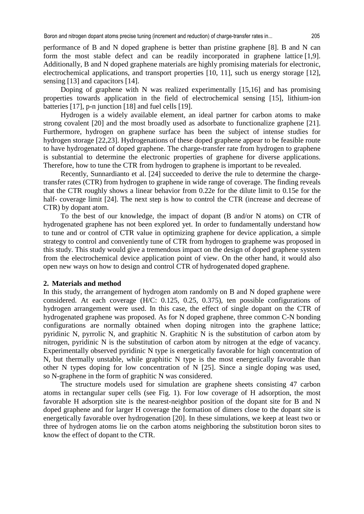performance of B and N doped graphene is better than pristine graphene [8]. B and N can form the most stable defect and can be readily incorporated in graphene lattice [1,9]. Additionally, B and N doped graphene materials are highly promising materials for electronic, electrochemical applications, and transport properties [10, 11], such us energy storage [12], sensing [13] and capacitors [14].

Doping of graphene with N was realized experimentally [15,16] and has promising properties towards application in the field of electrochemical sensing [15], lithium-ion batteries [17], p-n junction [18] and fuel cells [19].

Hydrogen is a widely available element, an ideal partner for carbon atoms to make strong covalent [20] and the most broadly used as adsorbate to functionalize graphene [21]. Furthermore, hydrogen on graphene surface has been the subject of intense studies for hydrogen storage [22,23]. Hydrogenations of these doped graphene appear to be feasible route to have hydrogenated of doped graphene. The charge-transfer rate from hydrogen to graphene is substantial to determine the electronic properties of graphene for diverse applications. Therefore, how to tune the CTR from hydrogen to graphene is important to be revealed.

Recently, Sunnardianto et al. [24] succeeded to derive the rule to determine the chargetransfer rates (CTR) from hydrogen to graphene in wide range of coverage. The finding reveals that the CTR roughly shows a linear behavior from 0.22e for the dilute limit to 0.15e for the half- coverage limit [24]. The next step is how to control the CTR (increase and decrease of CTR) by dopant atom.

To the best of our knowledge, the impact of dopant (B and/or N atoms) on CTR of hydrogenated graphene has not been explored yet. In order to fundamentally understand how to tune and or control of CTR value in optimizing graphene for device application, a simple strategy to control and conveniently tune of CTR from hydrogen to grapheme was proposed in this study. This study would give a tremendous impact on the design of doped graphene system from the electrochemical device application point of view. On the other hand, it would also open new ways on how to design and control CTR of hydrogenated doped graphene.

#### **2. Materials and method**

In this study, the arrangement of hydrogen atom randomly on B and N doped graphene were considered. At each coverage (H/C: 0.125, 0.25, 0.375), ten possible configurations of hydrogen arrangement were used. In this case, the effect of single dopant on the CTR of hydrogenated graphene was proposed. As for N doped graphene, three common C-N bonding configurations are normally obtained when doping nitrogen into the graphene lattice; pyridinic N, pyrrolic N, and graphitic N. Graphitic N is the substitution of carbon atom by nitrogen, pyridinic N is the substitution of carbon atom by nitrogen at the edge of vacancy. Experimentally observed pyridinic N type is energetically favorable for high concentration of N, but thermally unstable, while graphitic N type is the most energetically favorable than other N types doping for low concentration of N [25]. Since a single doping was used, so N-graphene in the form of graphitic N was considered.

The structure models used for simulation are graphene sheets consisting 47 carbon atoms in rectangular super cells (see Fig. 1). For low coverage of H adsorption, the most favorable H adsorption site is the nearest-neighbor position of the dopant site for B and N doped graphene and for larger H coverage the formation of dimers close to the dopant site is energetically favorable over hydrogenation [20]. In these simulations, we keep at least two or three of hydrogen atoms lie on the carbon atoms neighboring the substitution boron sites to know the effect of dopant to the CTR.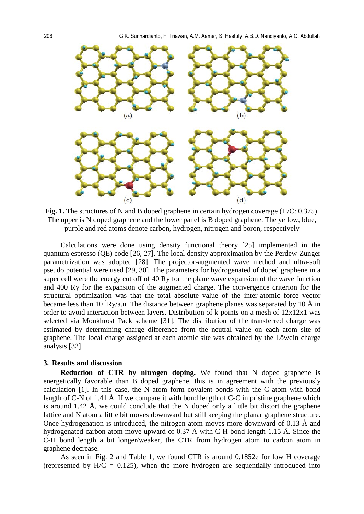

**Fig. 1.** The structures of N and B doped graphene in certain hydrogen coverage (H/C: 0.375). The upper is N doped graphene and the lower panel is B doped graphene. The yellow, blue, purple and red atoms denote carbon, hydrogen, nitrogen and boron, respectively

Calculations were done using density functional theory [25] implemented in the quantum espresso (QE) code [26, 27]. The local density approximation by the Perdew-Zunger parametrization was adopted [28]. The projector-augmented wave method and ultra-soft pseudo potential were used [29, 30]. The parameters for hydrogenated of doped graphene in a super cell were the energy cut off of 40 Ry for the plane wave expansion of the wave function and 400 Ry for the expansion of the augmented charge. The convergence criterion for the structural optimization was that the total absolute value of the inter-atomic force vector became less than  $10^{-4}Ry/a.u$ . The distance between graphene planes was separated by 10 Å in order to avoid interaction between layers. Distribution of k-points on a mesh of 12x12x1 was selected via Monkhrost Pack scheme [31]. The distribution of the transferred charge was estimated by determining charge difference from the neutral value on each atom site of graphene. The local charge assigned at each atomic site was obtained by the Löwdin charge analysis [32].

#### **3. Results and discussion**

**Reduction of CTR by nitrogen doping.** We found that N doped graphene is energetically favorable than B doped graphene, this is in agreement with the previously calculation [1]. In this case, the N atom form covalent bonds with the C atom with bond length of C-N of 1.41 Å. If we compare it with bond length of C-C in pristine graphene which is around 1.42 Å, we could conclude that the N doped only a little bit distort the graphene lattice and N atom a little bit moves downward but still keeping the planar graphene structure. Once hydrogenation is introduced, the nitrogen atom moves more downward of 0.13 Å and hydrogenated carbon atom move upward of 0.37 Å with C-H bond length 1.15 Å. Since the C-H bond length a bit longer/weaker, the CTR from hydrogen atom to carbon atom in graphene decrease.

As seen in Fig. 2 and Table 1, we found CTR is around 0.1852e for low H coverage (represented by  $H/C = 0.125$ ), when the more hydrogen are sequentially introduced into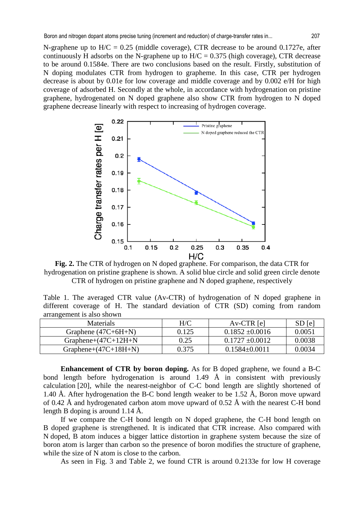N-graphene up to  $H/C = 0.25$  (middle coverage), CTR decrease to be around 0.1727e, after continuously H adsorbs on the N-graphene up to  $H/C = 0.375$  (high coverage), CTR decrease to be around 0.1584e. There are two conclusions based on the result. Firstly, substitution of N doping modulates CTR from hydrogen to grapheme. In this case, CTR per hydrogen decrease is about by 0.01e for low coverage and middle coverage and by 0.002 e/H for high coverage of adsorbed H. Secondly at the whole, in accordance with hydrogenation on pristine graphene, hydrogenated on N doped graphene also show CTR from hydrogen to N doped graphene decrease linearly with respect to increasing of hydrogen coverage.



**Fig. 2.** The CTR of hydrogen on N doped graphene. For comparison, the data CTR for hydrogenation on pristine graphene is shown. A solid blue circle and solid green circle denote CTR of hydrogen on pristine graphene and N doped graphene, respectively

Table 1. The averaged CTR value (Av-CTR) of hydrogenation of N doped graphene in different coverage of H. The standard deviation of CTR (SD) coming from random arrangement is also shown

| Materials               | H/C   | $Av-CTR [e]$        | SD [e] |
|-------------------------|-------|---------------------|--------|
| Graphene $(47C+6H+N)$   | 0.125 | $0.1852 \pm 0.0016$ | 0.0051 |
| Graphene+ $(47C+12H+N)$ | 0.25  | $0.1727 \pm 0.0012$ | 0.0038 |
| Graphene+ $(47C+18H+N)$ | 0.375 | $0.1584 \pm 0.0011$ | 0.0034 |

**Enhancement of CTR by boron doping.** As for B doped graphene, we found a B-C bond length before hydrogenation is around 1.49  $\AA$  in consistent with previously calculation [20], while the nearest-neighbor of C-C bond length are slightly shortened of 1.40 Å. After hydrogenation the B-C bond length weaker to be 1.52 Å, Boron move upward of 0.42 Å and hydrogenated carbon atom move upward of 0.52 Å with the nearest C-H bond length B doping is around 1.14 Å.

If we compare the C-H bond length on N doped graphene, the C-H bond length on B doped graphene is strengthened. It is indicated that CTR increase. Also compared with N doped, B atom induces a bigger lattice distortion in graphene system because the size of boron atom is larger than carbon so the presence of boron modifies the structure of graphene, while the size of N atom is close to the carbon.

As seen in Fig. 3 and Table 2, we found CTR is around 0.2133e for low H coverage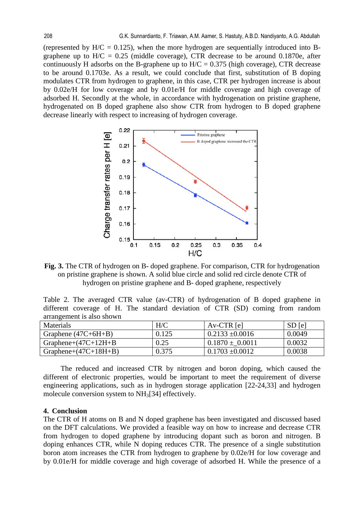(represented by  $H/C = 0.125$ ), when the more hydrogen are sequentially introduced into Bgraphene up to  $H/C = 0.25$  (middle coverage), CTR decrease to be around 0.1870e, after continuously H adsorbs on the B-graphene up to  $H/C = 0.375$  (high coverage), CTR decrease to be around 0.1703e. As a result, we could conclude that first, substitution of B doping modulates CTR from hydrogen to graphene, in this case, CTR per hydrogen increase is about by 0.02e/H for low coverage and by 0.01e/H for middle coverage and high coverage of adsorbed H. Secondly at the whole, in accordance with hydrogenation on pristine graphene, hydrogenated on B doped graphene also show CTR from hydrogen to B doped graphene decrease linearly with respect to increasing of hydrogen coverage.



**Fig. 3.** The CTR of hydrogen on B- doped graphene. For comparison, CTR for hydrogenation on pristine graphene is shown. A solid blue circle and solid red circle denote CTR of hydrogen on pristine graphene and B- doped graphene, respectively

|                           |  | Table 2. The averaged CTR value (av-CTR) of hydrogenation of B doped graphene in |  |  |  |
|---------------------------|--|----------------------------------------------------------------------------------|--|--|--|
|                           |  | different coverage of H. The standard deviation of CTR (SD) coming from random   |  |  |  |
| arrangement is also shown |  |                                                                                  |  |  |  |

| <b>Materials</b>        | H/C   | $Av-CTR$ [e]        | SD [e] |
|-------------------------|-------|---------------------|--------|
| Graphene $(47C+6H+B)$   | 0.125 | $0.2133 \pm 0.0016$ | 0.0049 |
| Graphene+ $(47C+12H+B)$ | 0.25  | $0.1870 \pm 0.0011$ | 0.0032 |
| Graphene+ $(47C+18H+B)$ | 0.375 | $0.1703 \pm 0.0012$ | 0.0038 |

The reduced and increased CTR by nitrogen and boron doping, which caused the different of electronic properties, would be important to meet the requirement of diverse engineering applications, such as in hydrogen storage application [22-24,33] and hydrogen molecule conversion system to NH3[34] effectively.

### **4. Conclusion**

The CTR of H atoms on B and N doped graphene has been investigated and discussed based on the DFT calculations. We provided a feasible way on how to increase and decrease CTR from hydrogen to doped graphene by introducing dopant such as boron and nitrogen. B doping enhances CTR, while N doping reduces CTR. The presence of a single substitution boron atom increases the CTR from hydrogen to graphene by 0.02e/H for low coverage and by 0.01e/H for middle coverage and high coverage of adsorbed H. While the presence of a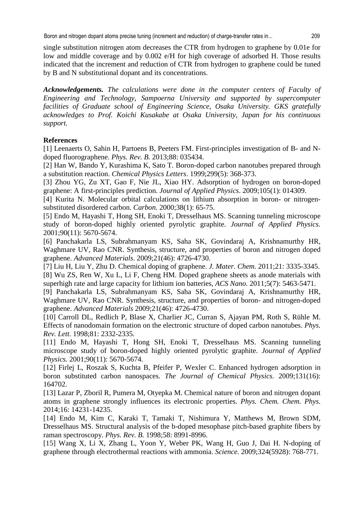single substitution nitrogen atom decreases the CTR from hydrogen to graphene by 0.01e for low and middle coverage and by 0.002 e/H for high coverage of adsorbed H. Those results indicated that the increment and reduction of CTR from hydrogen to graphene could be tuned by B and N substitutional dopant and its concentrations.

*Acknowledgements. The calculations were done in the computer centers of Faculty of Engineering and Technology, Sampoerna University and supported by supercomputer facilities of Graduate school of Engineering Science, Osaka University. GKS gratefully acknowledges to Prof. Koichi Kusakabe at Osaka University, Japan for his continuous support.*

## **References**

[1] Leenaerts O, Sahin H, Partoens B, Peeters FM. First-principles investigation of B- and Ndoped fluorographene. *Phys. Rev. B.* 2013;88: 035434.

[2] Han W, Bando Y, Kurashima K, Sato T. Boron-doped carbon nanotubes prepared through a substitution reaction. *Chemical Physics Letters*. 1999;299(5): 368-373.

[3] Zhou YG, Zu XT, Gao F, Nie JL, Xiao HY. Adsorption of hydrogen on boron-doped graphene: A first-principles prediction. *Journal of Applied Physics*. 2009;105(1): 014309.

[4] Kurita N. Molecular orbital calculations on lithium absorption in boron- or nitrogensubstituted disordered carbon. *Carbon.* 2000;38(1): 65-75.

[5] Endo M, Hayashi T, Hong SH, Enoki T, Dresselhaus MS. Scanning tunneling microscope study of boron-doped highly oriented pyrolytic graphite. *Journal of Applied Physics.*  2001;90(11): 5670-5674.

[6] Panchakarla LS, Subrahmanyam KS, Saha SK, Govindaraj A, Krishnamurthy HR, Waghmare UV, Rao CNR. Synthesis, structure, and properties of boron and nitrogen doped graphene. *Advanced Materials*. 2009;21(46): 4726-4730.

[7] Liu H, Liu Y, Zhu D. Chemical doping of graphene. *J. Mater. Chem.* 2011;21: 3335-3345. [8] Wu ZS, Ren W, Xu L, Li F, Cheng HM. Doped graphene sheets as anode materials with superhigh rate and large capacity for lithium ion batteries, *ACS Nano.* 2011;5(7): 5463-5471.

[9] Panchakarla LS, Subrahmanyam KS, Saha SK, Govindaraj A, Krishnamurthy HR, Waghmare UV, Rao CNR. Synthesis, structure, and properties of boron- and nitrogen-doped graphene. *Advanced Materials* 2009;21(46): 4726-4730.

[10] Carroll DL, Redlich P, Blase X, Charlier JC, Curran S, Ajayan PM, Roth S, Rühle M. Effects of nanodomain formation on the electronic structure of doped carbon nanotubes. *Phys. Rev. Lett.* 1998;81: 2332-2335.

[11] Endo M, Hayashi T, Hong SH, Enoki T, Dresselhaus MS. Scanning tunneling microscope study of boron-doped highly oriented pyrolytic graphite. *Journal of Applied Physics.* 2001;90(11): 5670-5674.

[12] Firlej L, Roszak S, Kuchta B, Pfeifer P, Wexler C. Enhanced hydrogen adsorption in boron substituted carbon nanospaces. *The Journal of Chemical Physics.* 2009;131(16): 164702.

[13] Lazar P, Zboril R, Pumera M, Otyepka M. Chemical nature of boron and nitrogen dopant atoms in graphene strongly influences its electronic properties. *Phys. Chem. Chem. Phys*. 2014;16: 14231-14235.

[14] Endo M, Kim C, Karaki T, Tamaki T, Nishimura Y, Matthews M, Brown SDM, Dresselhaus MS. Structural analysis of the b-doped mesophase pitch-based graphite fibers by raman spectroscopy. *Phys. Rev. B.* 1998;58: 8991-8996.

[15] Wang X, Li X, Zhang L, Yoon Y, Weber PK, Wang H, Guo J, Dai H. N-doping of graphene through electrothermal reactions with ammonia. *Science.* 2009;324(5928): 768-771.